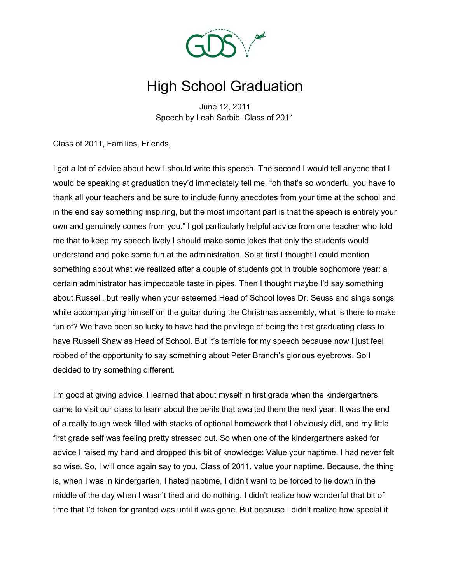

## High School Graduation

June 12, 2011 Speech by Leah Sarbib, Class of 2011

Class of 2011, Families, Friends,

I got a lot of advice about how I should write this speech. The second I would tell anyone that I would be speaking at graduation they'd immediately tell me, "oh that's so wonderful you have to thank all your teachers and be sure to include funny anecdotes from your time at the school and in the end say something inspiring, but the most important part is that the speech is entirely your own and genuinely comes from you." I got particularly helpful advice from one teacher who told me that to keep my speech lively I should make some jokes that only the students would understand and poke some fun at the administration. So at first I thought I could mention something about what we realized after a couple of students got in trouble sophomore year: a certain administrator has impeccable taste in pipes. Then I thought maybe I'd say something about Russell, but really when your esteemed Head of School loves Dr. Seuss and sings songs while accompanying himself on the guitar during the Christmas assembly, what is there to make fun of? We have been so lucky to have had the privilege of being the first graduating class to have Russell Shaw as Head of School. But it's terrible for my speech because now I just feel robbed of the opportunity to say something about Peter Branch's glorious eyebrows. So I decided to try something different.

I'm good at giving advice. I learned that about myself in first grade when the kindergartners came to visit our class to learn about the perils that awaited them the next year. It was the end of a really tough week filled with stacks of optional homework that I obviously did, and my little first grade self was feeling pretty stressed out. So when one of the kindergartners asked for advice I raised my hand and dropped this bit of knowledge: Value your naptime. I had never felt so wise. So, I will once again say to you, Class of 2011, value your naptime. Because, the thing is, when I was in kindergarten, I hated naptime, I didn't want to be forced to lie down in the middle of the day when I wasn't tired and do nothing. I didn't realize how wonderful that bit of time that I'd taken for granted was until it was gone. But because I didn't realize how special it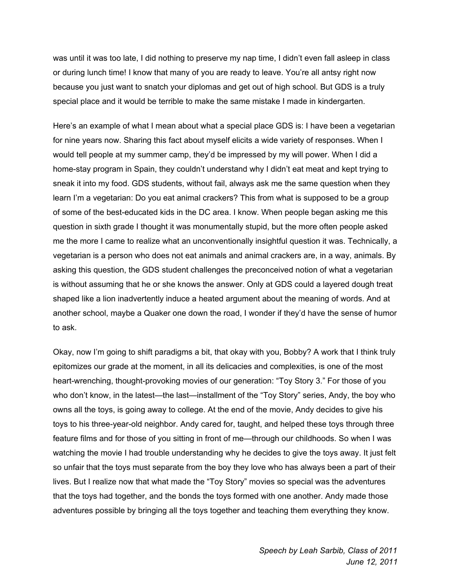was until it was too late, I did nothing to preserve my nap time, I didn't even fall asleep in class or during lunch time! I know that many of you are ready to leave. You're all antsy right now because you just want to snatch your diplomas and get out of high school. But GDS is a truly special place and it would be terrible to make the same mistake I made in kindergarten.

Here's an example of what I mean about what a special place GDS is: I have been a vegetarian for nine years now. Sharing this fact about myself elicits a wide variety of responses. When I would tell people at my summer camp, they'd be impressed by my will power. When I did a home-stay program in Spain, they couldn't understand why I didn't eat meat and kept trying to sneak it into my food. GDS students, without fail, always ask me the same question when they learn I'm a vegetarian: Do you eat animal crackers? This from what is supposed to be a group of some of the best-educated kids in the DC area. I know. When people began asking me this question in sixth grade I thought it was monumentally stupid, but the more often people asked me the more I came to realize what an unconventionally insightful question it was. Technically, a vegetarian is a person who does not eat animals and animal crackers are, in a way, animals. By asking this question, the GDS student challenges the preconceived notion of what a vegetarian is without assuming that he or she knows the answer. Only at GDS could a layered dough treat shaped like a lion inadvertently induce a heated argument about the meaning of words. And at another school, maybe a Quaker one down the road, I wonder if they'd have the sense of humor to ask.

Okay, now I'm going to shift paradigms a bit, that okay with you, Bobby? A work that I think truly epitomizes our grade at the moment, in all its delicacies and complexities, is one of the most heart-wrenching, thought-provoking movies of our generation: "Toy Story 3." For those of you who don't know, in the latest—the last—installment of the "Toy Story" series, Andy, the boy who owns all the toys, is going away to college. At the end of the movie, Andy decides to give his toys to his three-year-old neighbor. Andy cared for, taught, and helped these toys through three feature films and for those of you sitting in front of me—through our childhoods. So when I was watching the movie I had trouble understanding why he decides to give the toys away. It just felt so unfair that the toys must separate from the boy they love who has always been a part of their lives. But I realize now that what made the "Toy Story" movies so special was the adventures that the toys had together, and the bonds the toys formed with one another. Andy made those adventures possible by bringing all the toys together and teaching them everything they know.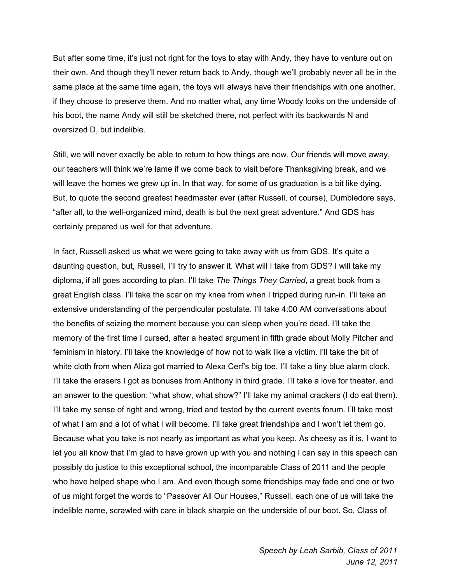But after some time, it's just not right for the toys to stay with Andy, they have to venture out on their own. And though they'll never return back to Andy, though we'll probably never all be in the same place at the same time again, the toys will always have their friendships with one another, if they choose to preserve them. And no matter what, any time Woody looks on the underside of his boot, the name Andy will still be sketched there, not perfect with its backwards N and oversized D, but indelible.

Still, we will never exactly be able to return to how things are now. Our friends will move away, our teachers will think we're lame if we come back to visit before Thanksgiving break, and we will leave the homes we grew up in. In that way, for some of us graduation is a bit like dying. But, to quote the second greatest headmaster ever (after Russell, of course), Dumbledore says, "after all, to the well-organized mind, death is but the next great adventure." And GDS has certainly prepared us well for that adventure.

In fact, Russell asked us what we were going to take away with us from GDS. It's quite a daunting question, but, Russell, I'll try to answer it. What will I take from GDS? I will take my diploma, if all goes according to plan. I'll take *The Things They Carried*, a great book from a great English class. I'll take the scar on my knee from when I tripped during run-in. I'll take an extensive understanding of the perpendicular postulate. I'll take 4:00 AM conversations about the benefits of seizing the moment because you can sleep when you're dead. I'll take the memory of the first time I cursed, after a heated argument in fifth grade about Molly Pitcher and feminism in history. I'll take the knowledge of how not to walk like a victim. I'll take the bit of white cloth from when Aliza got married to Alexa Cerf's big toe. I'll take a tiny blue alarm clock. I'll take the erasers I got as bonuses from Anthony in third grade. I'll take a love for theater, and an answer to the question: "what show, what show?" I'll take my animal crackers (I do eat them). I'll take my sense of right and wrong, tried and tested by the current events forum. I'll take most of what I am and a lot of what I will become. I'll take great friendships and I won't let them go. Because what you take is not nearly as important as what you keep. As cheesy as it is, I want to let you all know that I'm glad to have grown up with you and nothing I can say in this speech can possibly do justice to this exceptional school, the incomparable Class of 2011 and the people who have helped shape who I am. And even though some friendships may fade and one or two of us might forget the words to "Passover All Our Houses," Russell, each one of us will take the indelible name, scrawled with care in black sharpie on the underside of our boot. So, Class of